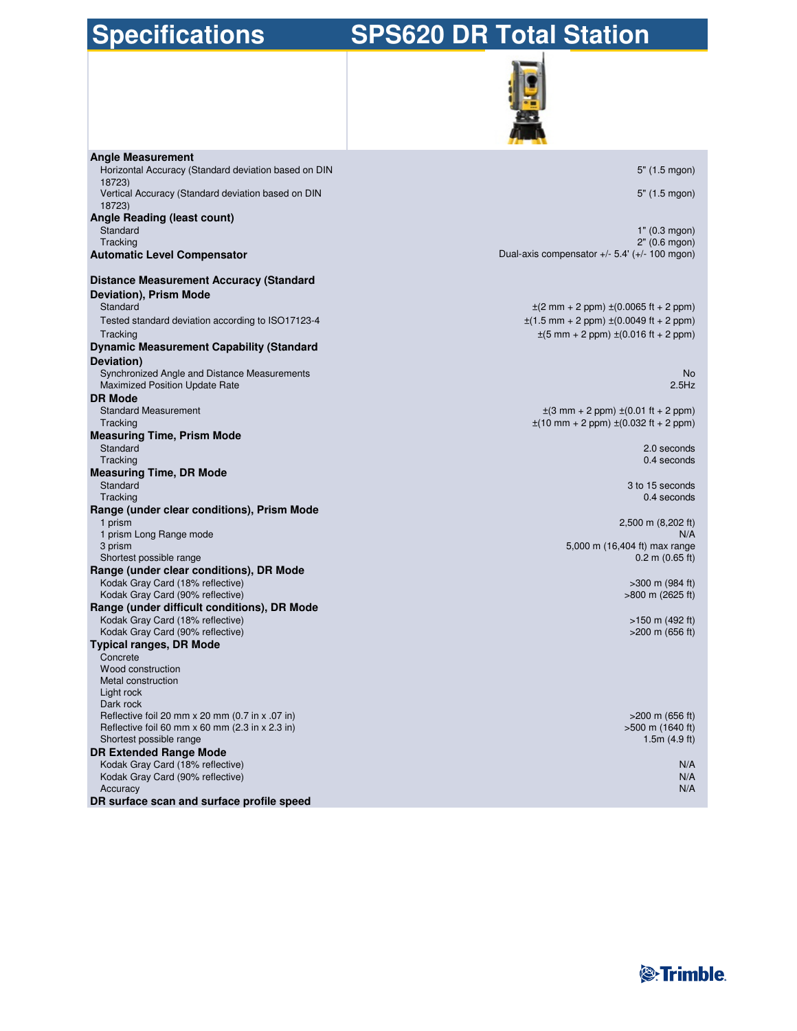# **Specifications SPS620 DR Total Station**



| <b>Angle Measurement</b>                                                              |                                                                              |
|---------------------------------------------------------------------------------------|------------------------------------------------------------------------------|
| Horizontal Accuracy (Standard deviation based on DIN<br>18723)                        | $5"$ (1.5 mgon)                                                              |
| Vertical Accuracy (Standard deviation based on DIN                                    | 5" (1.5 mgon)                                                                |
| 18723)                                                                                |                                                                              |
| Angle Reading (least count)<br>Standard                                               | 1" (0.3 mgon)                                                                |
| Tracking                                                                              | 2" (0.6 mqon)                                                                |
| <b>Automatic Level Compensator</b>                                                    | Dual-axis compensator $+/- 5.4' (+/- 100$ mgon)                              |
| <b>Distance Measurement Accuracy (Standard</b>                                        |                                                                              |
| Deviation), Prism Mode                                                                |                                                                              |
| Standard                                                                              | $\pm$ (2 mm + 2 ppm) $\pm$ (0.0065 ft + 2 ppm)                               |
| Tested standard deviation according to ISO17123-4                                     | $\pm(1.5 \text{ mm} + 2 \text{ ppm}) \pm(0.0049 \text{ ft} + 2 \text{ ppm})$ |
| Tracking                                                                              | $\pm(5 \text{ mm} + 2 \text{ ppm}) \pm (0.016 \text{ ft} + 2 \text{ ppm})$   |
| <b>Dynamic Measurement Capability (Standard</b>                                       |                                                                              |
| Deviation)                                                                            |                                                                              |
| Synchronized Angle and Distance Measurements<br><b>Maximized Position Update Rate</b> | <b>No</b><br>2.5Hz                                                           |
| <b>DR Mode</b>                                                                        |                                                                              |
| <b>Standard Measurement</b>                                                           | $\pm$ (3 mm + 2 ppm) $\pm$ (0.01 ft + 2 ppm)                                 |
| Tracking                                                                              | $\pm(10 \text{ mm} + 2 \text{ ppm}) \pm (0.032 \text{ ft} + 2 \text{ ppm})$  |
| <b>Measuring Time, Prism Mode</b>                                                     |                                                                              |
| Standard                                                                              | 2.0 seconds                                                                  |
| Tracking                                                                              | 0.4 seconds                                                                  |
| <b>Measuring Time, DR Mode</b>                                                        |                                                                              |
| Standard                                                                              | 3 to 15 seconds                                                              |
| Tracking                                                                              | 0.4 seconds                                                                  |
| Range (under clear conditions), Prism Mode<br>1 prism                                 |                                                                              |
| 1 prism Long Range mode                                                               | 2,500 m (8,202 ft)<br>N/A                                                    |
| 3 prism                                                                               | 5,000 m (16,404 ft) max range                                                |
| Shortest possible range                                                               | $0.2$ m $(0.65$ ft)                                                          |
| Range (under clear conditions), DR Mode                                               |                                                                              |
| Kodak Gray Card (18% reflective)                                                      | $>300$ m (984 ft)                                                            |
| Kodak Gray Card (90% reflective)                                                      | $>800$ m (2625 ft)                                                           |
| Range (under difficult conditions), DR Mode                                           |                                                                              |
| Kodak Gray Card (18% reflective)                                                      | $>150$ m (492 ft)                                                            |
| Kodak Gray Card (90% reflective)                                                      | $>200$ m (656 ft)                                                            |
| <b>Typical ranges, DR Mode</b>                                                        |                                                                              |
| Concrete                                                                              |                                                                              |
| Wood construction                                                                     |                                                                              |
| Metal construction                                                                    |                                                                              |
| Light rock<br>Dark rock                                                               |                                                                              |
| Reflective foil 20 mm x 20 mm (0.7 in x .07 in)                                       | $>200$ m (656 ft)                                                            |
| Reflective foil 60 mm $x$ 60 mm (2.3 in $x$ 2.3 in)                                   | >500 m (1640 ft)                                                             |
| Shortest possible range                                                               | 1.5 $m(4.9 ft)$                                                              |
| <b>DR Extended Range Mode</b>                                                         |                                                                              |
| Kodak Gray Card (18% reflective)                                                      | N/A                                                                          |
| Kodak Gray Card (90% reflective)                                                      | N/A                                                                          |
| Accuracy                                                                              | N/A                                                                          |
| DR surface scan and surface profile speed                                             |                                                                              |

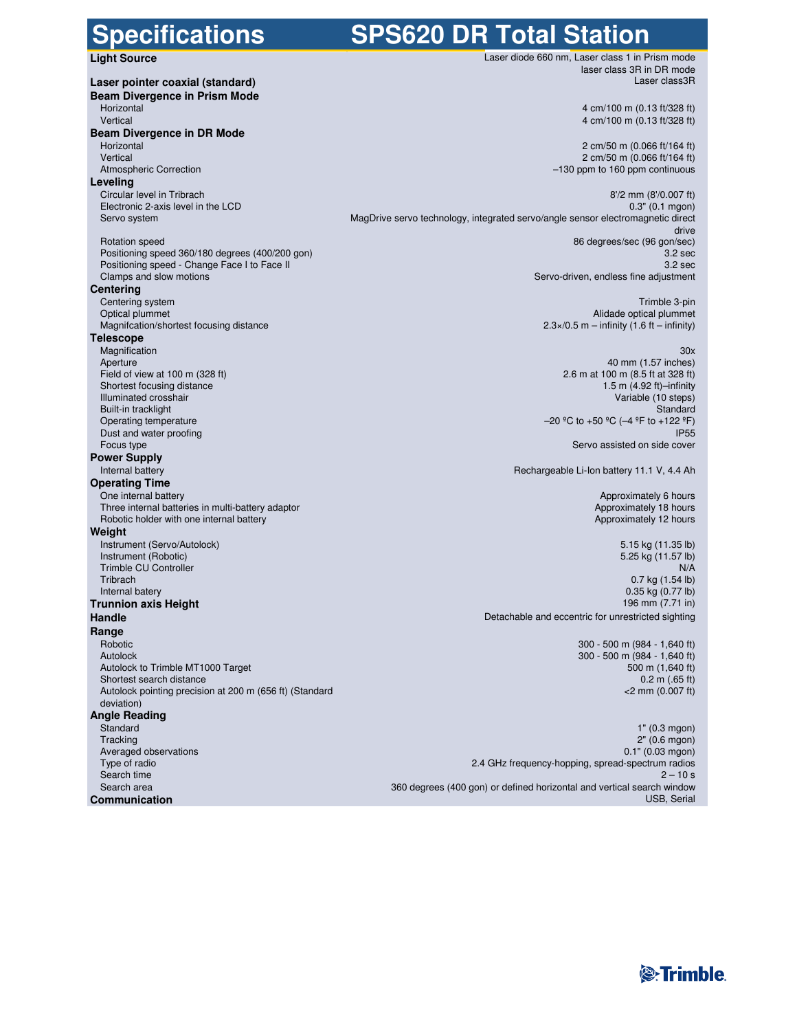**Specifications SPS620 DR Total Station Light Source** Laser diode 660 nm, Laser class 1 in Prism mode **Laser pointer coaxial (standard) Laser class and Laser class and Laser class and Laser class 3R** and Laser class 3R **Beam Divergence in Prism Mode** Vertical 4 cm/100 m (0.13 ft/328 ft) **Beam Divergence in DR Mode** Horizontal 2 cm/50 m (0.066 ft/164 ft) Vertical 2 cm/50 m (0.066 ft/164 ft) **Leveling** Circular level in Tribrach 8'/2 mm (8'/0.007 ft) and the control of the control of the control of the control of the control of the control of the control of the control of the control of the control of the control of the Electronic 2-axis level in the LCD Servo system MagDrive servo technology, integrated servo/angle sensor electromagnetic direct Rotation speed 86 degrees/sec (96 gon/sec) Positioning speed 360/180 degrees (400/200 gon)<br>
Positioning speed - Change Face I to Face II<br>
3.2 sec Positioning speed - Change Face I to Face II<br>Clamps and slow motions **Centering** Centering system Trimble 3-pin Magnifcation/shortest focusing distance 2.3×/0.5 m – infinity (1.6 ft – infinity) **Telescope** Magnification 30x Aperture 40 mm (1.57 inches)<br>
Field of view at 100 m (328 ft) 40 mm (1.57 inches)<br>
Field of view at 100 m (328 ft) 42.6 m at 100 m (8.5 ft at 328 ft) Shortest focusing distance Illuminated crosshair Variable (10 steps) Built-in tracklight<br>Operating temperature Dust and water proofing Focus type Servo assisted on side cover Servo assisted on side cover Servo assisted on side cover **Power Supply**<br>Internal battery **Operating Time**<br>One internal battery Three internal batteries in multi-battery adaptor and the state of the state of the state of the Approximately 18 hours<br>
The Approximately 12 hours<br>
Approximately 12 hours Robotic holder with one internal battery **Weight** Instrument (Servo/Autolock) 5.15 kg (11.35 lb) Instrument (Robotic) 5.25 kg (11.57 lb) Trimble CU Controller<br>Tribrach Tribrach 0.7 kg (1.54 lb) **Trunnion axis Height** 196 mm (7.71 in) **Handle Handle Handle Detachable and eccentric for unrestricted sighting Range** Robotic 300 - 500 m (984 - 1,640 ft) Autolock 300 - 500 m (984 - 1,640 ft) Autolock to Trimble MT1000 Target 500 m (1,640 ft) and the state state  $500 \text{ m (1,640 ft)}$ Shortest search distance **0.2 m** (.65 ft) 0.2 m (.65 ft) Autolock pointing precision at 200 m (656 ft) (Standard deviation) **Angle Reading** Standard 1" (0.3 mgon) Tracking 2" (0.6 mgon) 2.2 (0.6 mgon) 2.2 (0.6 mgon) 2.2 (0.6 mgon) 2.2 (0.6 mgon) 2.2 (0.6 mgon) 2.2 (0.6 mgon) Averaged observations 0.1" (0.03 mgon) Type of radio 2.4 GHz frequency-hopping, spread-spectrum radios Search time 2 – 10 s

laser class 3R in DR mode

4 cm/100 m (0.13 ft/328 ft)

 $-130$  ppm to 160 ppm continuous

drive Servo-driven, endless fine adjustment

Alidade optical plummet

field of m at 100 m (8.5 ft at 328 ft)<br>1.5 m (4.92 ft)-infinity  $-20$  °C to +50 °C (-4 °F to +122 °F)<br>IP55

Rechargeable Li-Ion battery 11.1 V, 4.4 Ah

Approximately 6 hours<br>Approximately 18 hours

 $0.35$  kg  $(0.77$  lb)

<2 mm (0.007 ft)

Search area 360 degrees (400 gon) or defined horizontal and vertical search window **Communication** USB, Serial USB, Serial USB, Serial USB, Serial USB, Serial USB, Serial USB, Serial USB, Serial